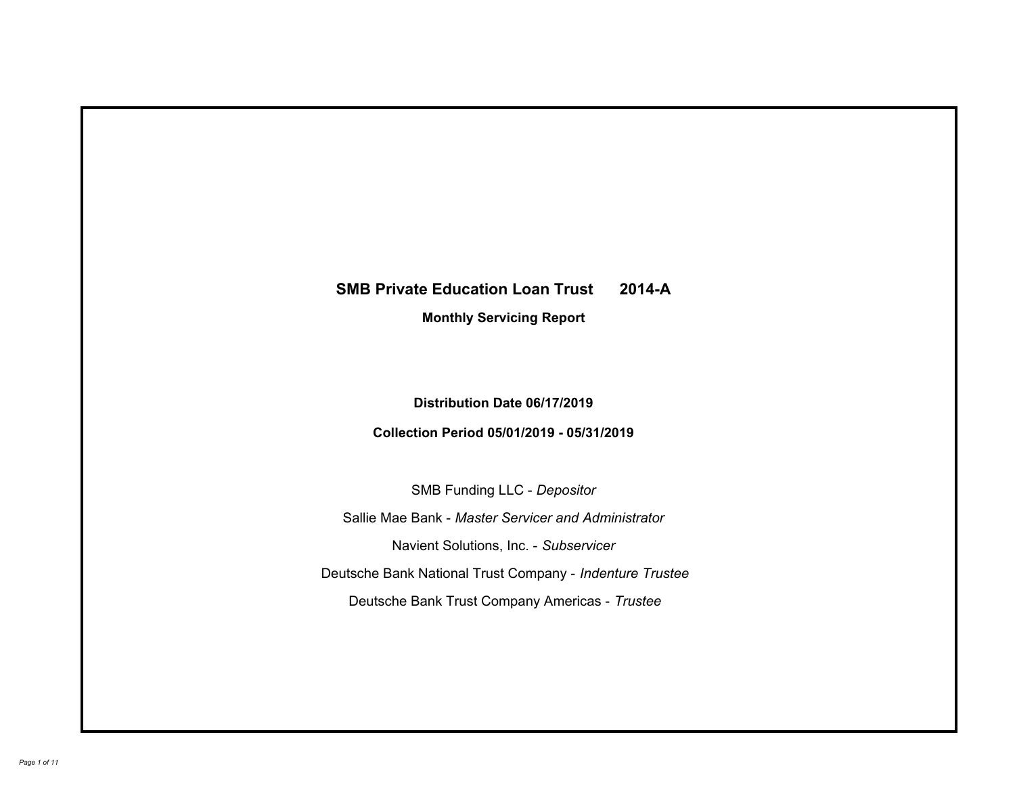# **SMB Private Education Loan Trust 2014-A Monthly Servicing Report**

# **Distribution Date 06/17/2019**

# **Collection Period 05/01/2019 - 05/31/2019**

SMB Funding LLC - *Depositor*

Sallie Mae Bank - *Master Servicer and Administrator*

Navient Solutions, Inc. - *Subservicer*

Deutsche Bank National Trust Company - *Indenture Trustee*

Deutsche Bank Trust Company Americas - *Trustee*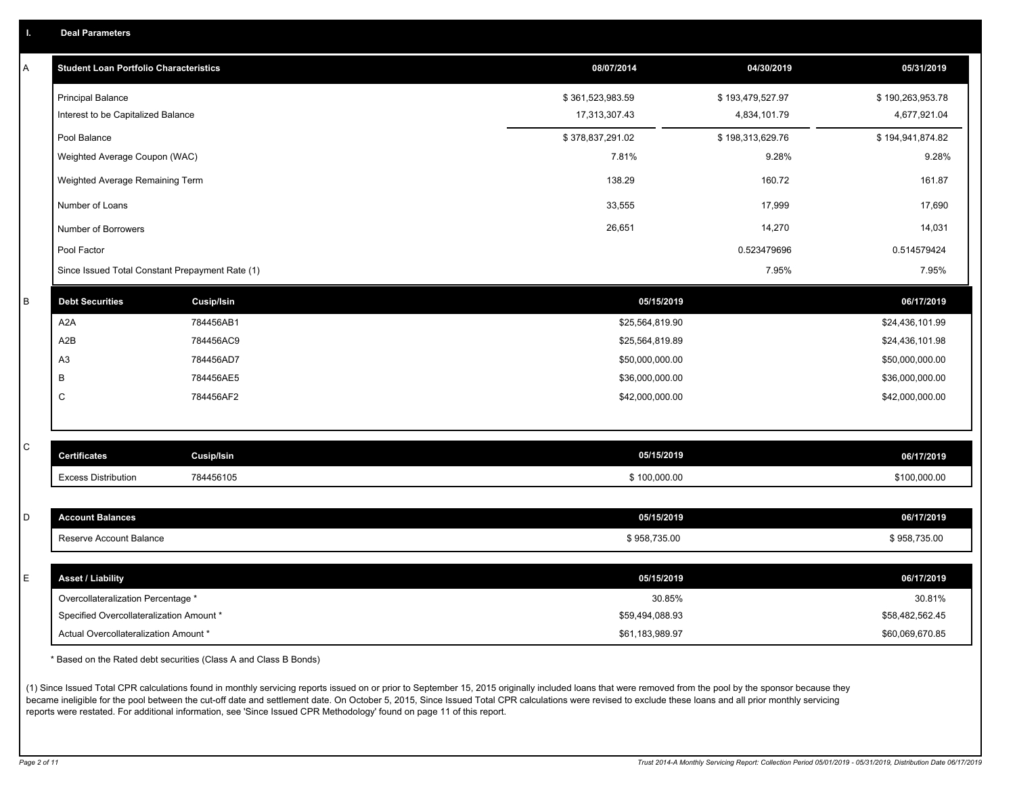|  |  |  | <b>Deal Parameters</b> |  |
|--|--|--|------------------------|--|
|--|--|--|------------------------|--|

| A | <b>Student Loan Portfolio Characteristics</b>   |                   | 08/07/2014       | 04/30/2019       | 05/31/2019       |
|---|-------------------------------------------------|-------------------|------------------|------------------|------------------|
|   | <b>Principal Balance</b>                        |                   | \$361,523,983.59 | \$193,479,527.97 | \$190,263,953.78 |
|   | Interest to be Capitalized Balance              |                   | 17,313,307.43    | 4,834,101.79     | 4,677,921.04     |
|   | Pool Balance                                    |                   | \$378,837,291.02 | \$198,313,629.76 | \$194,941,874.82 |
|   | Weighted Average Coupon (WAC)                   |                   | 7.81%            | 9.28%            | 9.28%            |
|   | Weighted Average Remaining Term                 |                   | 138.29           | 160.72           | 161.87           |
|   | Number of Loans                                 |                   | 33,555           | 17,999           | 17,690           |
|   | Number of Borrowers                             |                   | 26,651           | 14,270           | 14,031           |
|   | Pool Factor                                     |                   |                  | 0.523479696      | 0.514579424      |
|   | Since Issued Total Constant Prepayment Rate (1) |                   |                  | 7.95%            | 7.95%            |
| B | <b>Debt Securities</b>                          | <b>Cusip/Isin</b> | 05/15/2019       |                  | 06/17/2019       |
|   | A2A                                             | 784456AB1         | \$25,564,819.90  |                  | \$24,436,101.99  |
|   | A2B                                             | 784456AC9         | \$25,564,819.89  |                  | \$24,436,101.98  |
|   | A <sub>3</sub>                                  | 784456AD7         | \$50,000,000.00  |                  | \$50,000,000.00  |
|   | В                                               | 784456AE5         | \$36,000,000.00  |                  | \$36,000,000.00  |
|   | C                                               | 784456AF2         | \$42,000,000.00  |                  | \$42,000,000.00  |
|   |                                                 |                   |                  |                  |                  |
| C | <b>Certificates</b>                             | <b>Cusip/Isin</b> | 05/15/2019       |                  | 06/17/2019       |
|   | <b>Excess Distribution</b>                      | 784456105         | \$100,000.00     |                  | \$100,000.00     |
|   |                                                 |                   |                  |                  |                  |
| D | <b>Account Balances</b>                         |                   | 05/15/2019       |                  | 06/17/2019       |
|   | Reserve Account Balance                         |                   | \$958,735.00     |                  | \$958,735.00     |
| E | <b>Asset / Liability</b>                        |                   | 05/15/2019       |                  | 06/17/2019       |
|   | Overcollateralization Percentage *              |                   | 30.85%           |                  | 30.81%           |
|   | Specified Overcollateralization Amount *        |                   | \$59,494,088.93  |                  | \$58,482,562.45  |
|   | Actual Overcollateralization Amount *           |                   | \$61,183,989.97  |                  | \$60,069,670.85  |

\* Based on the Rated debt securities (Class A and Class B Bonds)

(1) Since Issued Total CPR calculations found in monthly servicing reports issued on or prior to September 15, 2015 originally included loans that were removed from the pool by the sponsor because they became ineligible for the pool between the cut-off date and settlement date. On October 5, 2015, Since Issued Total CPR calculations were revised to exclude these loans and all prior monthly servicing reports were restated. For additional information, see 'Since Issued CPR Methodology' found on page 11 of this report.

*Page 2 of 11 Trust 2014-A Monthly Servicing Report: Collection Period 05/01/2019 - 05/31/2019, Distribution Date 06/17/2019*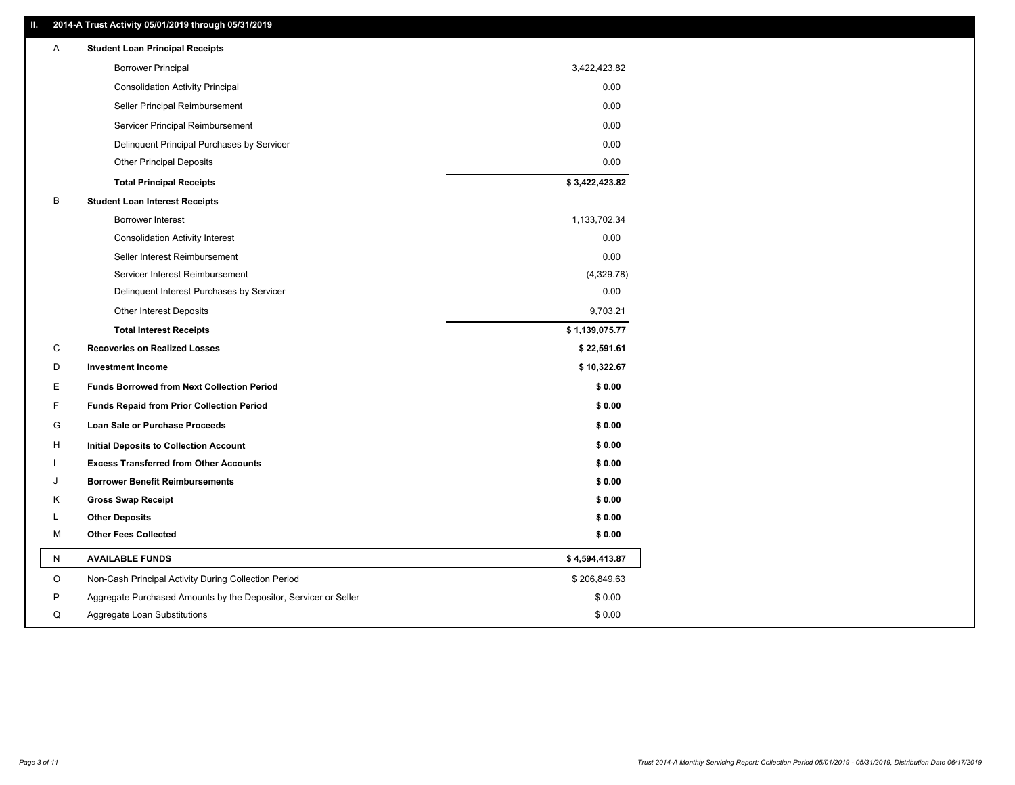### **II. 2014-A Trust Activity 05/01/2019 through 05/31/2019**

| Α | <b>Student Loan Principal Receipts</b>                           |                |
|---|------------------------------------------------------------------|----------------|
|   | <b>Borrower Principal</b>                                        | 3,422,423.82   |
|   | <b>Consolidation Activity Principal</b>                          | 0.00           |
|   | Seller Principal Reimbursement                                   | 0.00           |
|   | Servicer Principal Reimbursement                                 | 0.00           |
|   | Delinquent Principal Purchases by Servicer                       | 0.00           |
|   | <b>Other Principal Deposits</b>                                  | 0.00           |
|   | <b>Total Principal Receipts</b>                                  | \$3,422,423.82 |
| B | <b>Student Loan Interest Receipts</b>                            |                |
|   | <b>Borrower Interest</b>                                         | 1,133,702.34   |
|   | <b>Consolidation Activity Interest</b>                           | 0.00           |
|   | Seller Interest Reimbursement                                    | 0.00           |
|   | Servicer Interest Reimbursement                                  | (4,329.78)     |
|   | Delinquent Interest Purchases by Servicer                        | 0.00           |
|   | <b>Other Interest Deposits</b>                                   | 9,703.21       |
|   | <b>Total Interest Receipts</b>                                   | \$1,139,075.77 |
| С | <b>Recoveries on Realized Losses</b>                             | \$22,591.61    |
| D | <b>Investment Income</b>                                         | \$10,322.67    |
| Е | <b>Funds Borrowed from Next Collection Period</b>                | \$0.00         |
| F | <b>Funds Repaid from Prior Collection Period</b>                 | \$0.00         |
| G | Loan Sale or Purchase Proceeds                                   | \$0.00         |
| H | <b>Initial Deposits to Collection Account</b>                    | \$0.00         |
|   | <b>Excess Transferred from Other Accounts</b>                    | \$0.00         |
| J | <b>Borrower Benefit Reimbursements</b>                           | \$0.00         |
| Κ | <b>Gross Swap Receipt</b>                                        | \$0.00         |
| L | <b>Other Deposits</b>                                            | \$0.00         |
| М | <b>Other Fees Collected</b>                                      | \$0.00         |
| N | <b>AVAILABLE FUNDS</b>                                           | \$4,594,413.87 |
| O | Non-Cash Principal Activity During Collection Period             | \$206,849.63   |
| P | Aggregate Purchased Amounts by the Depositor, Servicer or Seller | \$0.00         |
| Q | Aggregate Loan Substitutions                                     | \$0.00         |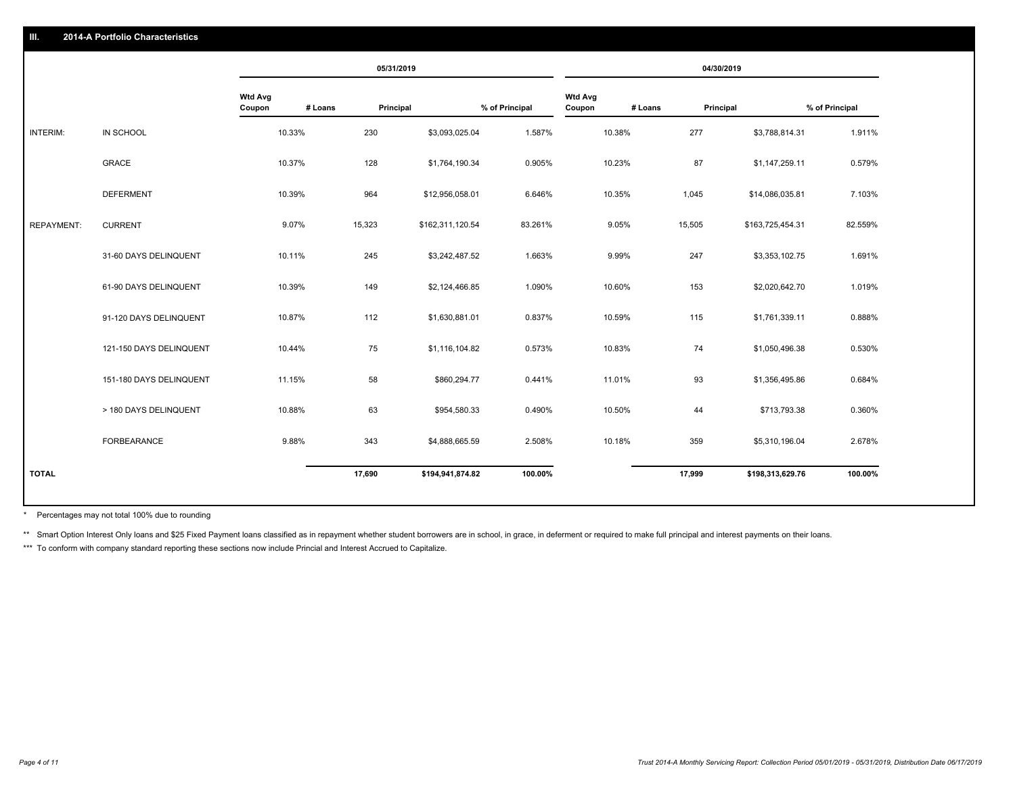|                         |                          | 05/31/2019 |                  |           |                          | 04/30/2019 |                  |                |
|-------------------------|--------------------------|------------|------------------|-----------|--------------------------|------------|------------------|----------------|
|                         | <b>Wtd Avg</b><br>Coupon |            |                  |           | <b>Wtd Avg</b><br>Coupon |            |                  | % of Principal |
| IN SCHOOL               | 10.33%                   | 230        | \$3,093,025.04   | 1.587%    | 10.38%                   | 277        | \$3,788,814.31   | 1.911%         |
| <b>GRACE</b>            | 10.37%                   | 128        | \$1,764,190.34   | 0.905%    | 10.23%                   | 87         | \$1,147,259.11   | 0.579%         |
| <b>DEFERMENT</b>        | 10.39%                   | 964        | \$12,956,058.01  | 6.646%    | 10.35%                   | 1,045      | \$14,086,035.81  | 7.103%         |
| <b>CURRENT</b>          | 9.07%                    | 15,323     | \$162,311,120.54 | 83.261%   | 9.05%                    | 15,505     | \$163,725,454.31 | 82.559%        |
| 31-60 DAYS DELINQUENT   | 10.11%                   | 245        | \$3,242,487.52   | 1.663%    | 9.99%                    | 247        | \$3,353,102.75   | 1.691%         |
| 61-90 DAYS DELINQUENT   | 10.39%                   | 149        | \$2,124,466.85   | 1.090%    | 10.60%                   | 153        | \$2,020,642.70   | 1.019%         |
| 91-120 DAYS DELINQUENT  | 10.87%                   | 112        | \$1,630,881.01   | 0.837%    | 10.59%                   | 115        | \$1,761,339.11   | 0.888%         |
| 121-150 DAYS DELINQUENT | 10.44%                   | 75         | \$1,116,104.82   | 0.573%    | 10.83%                   | 74         | \$1,050,496.38   | 0.530%         |
| 151-180 DAYS DELINQUENT | 11.15%                   | 58         | \$860,294.77     | 0.441%    | 11.01%                   | 93         | \$1,356,495.86   | 0.684%         |
| > 180 DAYS DELINQUENT   | 10.88%                   | 63         | \$954,580.33     | 0.490%    | 10.50%                   | 44         | \$713,793.38     | 0.360%         |
| FORBEARANCE             | 9.88%                    | 343        | \$4,888,665.59   | 2.508%    | 10.18%                   | 359        | \$5,310,196.04   | 2.678%         |
|                         |                          | 17,690     | \$194,941,874.82 | 100.00%   |                          | 17,999     | \$198,313,629.76 | 100.00%        |
|                         |                          |            | # Loans          | Principal | % of Principal           |            | # Loans          | Principal      |

Percentages may not total 100% due to rounding \*

\*\* Smart Option Interest Only loans and \$25 Fixed Payment loans classified as in repayment whether student borrowers are in school, in grace, in deferment or required to make full principal and interest payments on their l

\*\*\* To conform with company standard reporting these sections now include Princial and Interest Accrued to Capitalize.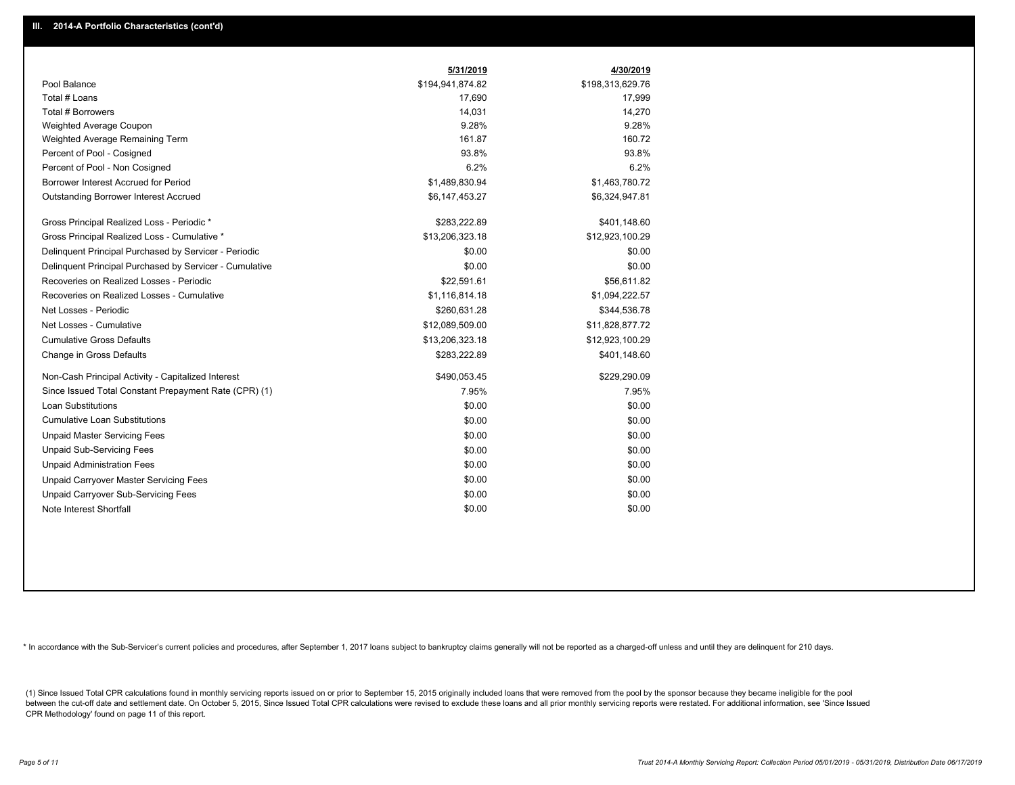|                                                         | 5/31/2019        | 4/30/2019        |
|---------------------------------------------------------|------------------|------------------|
| Pool Balance                                            | \$194,941,874.82 | \$198,313,629.76 |
| Total # Loans                                           | 17,690           | 17,999           |
| Total # Borrowers                                       | 14,031           | 14,270           |
| Weighted Average Coupon                                 | 9.28%            | 9.28%            |
| Weighted Average Remaining Term                         | 161.87           | 160.72           |
| Percent of Pool - Cosigned                              | 93.8%            | 93.8%            |
| Percent of Pool - Non Cosigned                          | 6.2%             | 6.2%             |
| Borrower Interest Accrued for Period                    | \$1,489,830.94   | \$1,463,780.72   |
| <b>Outstanding Borrower Interest Accrued</b>            | \$6,147,453.27   | \$6,324,947.81   |
| Gross Principal Realized Loss - Periodic *              | \$283,222.89     | \$401,148.60     |
| Gross Principal Realized Loss - Cumulative *            | \$13,206,323.18  | \$12,923,100.29  |
| Delinquent Principal Purchased by Servicer - Periodic   | \$0.00           | \$0.00           |
| Delinquent Principal Purchased by Servicer - Cumulative | \$0.00           | \$0.00           |
| Recoveries on Realized Losses - Periodic                | \$22,591.61      | \$56,611.82      |
| Recoveries on Realized Losses - Cumulative              | \$1,116,814.18   | \$1,094,222.57   |
| Net Losses - Periodic                                   | \$260,631.28     | \$344,536.78     |
| Net Losses - Cumulative                                 | \$12,089,509.00  | \$11,828,877.72  |
| <b>Cumulative Gross Defaults</b>                        | \$13,206,323.18  | \$12,923,100.29  |
| Change in Gross Defaults                                | \$283,222.89     | \$401,148.60     |
| Non-Cash Principal Activity - Capitalized Interest      | \$490,053.45     | \$229,290.09     |
| Since Issued Total Constant Prepayment Rate (CPR) (1)   | 7.95%            | 7.95%            |
| <b>Loan Substitutions</b>                               | \$0.00           | \$0.00           |
| <b>Cumulative Loan Substitutions</b>                    | \$0.00           | \$0.00           |
| <b>Unpaid Master Servicing Fees</b>                     | \$0.00           | \$0.00           |
| <b>Unpaid Sub-Servicing Fees</b>                        | \$0.00           | \$0.00           |
| <b>Unpaid Administration Fees</b>                       | \$0.00           | \$0.00           |
| Unpaid Carryover Master Servicing Fees                  | \$0.00           | \$0.00           |
| Unpaid Carryover Sub-Servicing Fees                     | \$0.00           | \$0.00           |
| Note Interest Shortfall                                 | \$0.00           | \$0.00           |

\* In accordance with the Sub-Servicer's current policies and procedures, after September 1, 2017 loans subject to bankruptcy claims generally will not be reported as a charged-off unless and until they are delinquent for 2

(1) Since Issued Total CPR calculations found in monthly servicing reports issued on or prior to September 15, 2015 originally included loans that were removed from the pool by the sponsor because they became ineligible fo between the cut-off date and settlement date. On October 5, 2015, Since Issued Total CPR calculations were revised to exclude these loans and all prior monthly servicing reports were restated. For additional information, s CPR Methodology' found on page 11 of this report.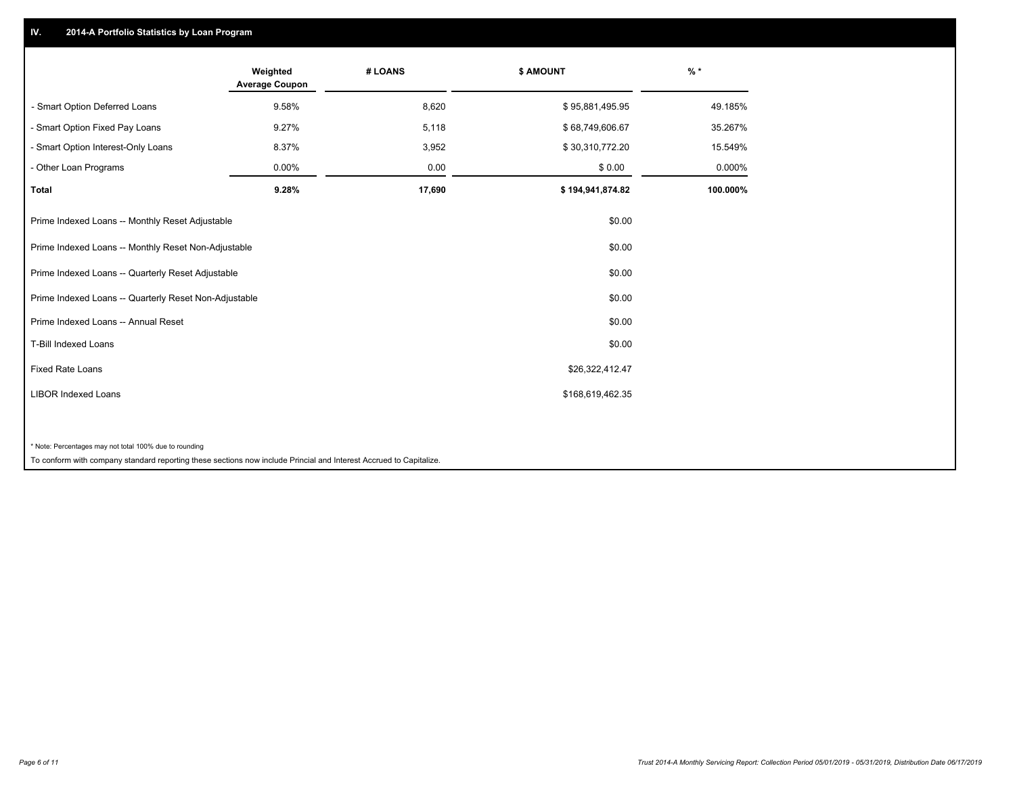## **IV. 2014-A Portfolio Statistics by Loan Program**

|                                                        | Weighted<br><b>Average Coupon</b> | # LOANS | <b>\$ AMOUNT</b> | $%$ *    |
|--------------------------------------------------------|-----------------------------------|---------|------------------|----------|
| - Smart Option Deferred Loans                          | 9.58%                             | 8,620   | \$95,881,495.95  | 49.185%  |
| - Smart Option Fixed Pay Loans                         | 9.27%                             | 5,118   | \$68,749,606.67  | 35.267%  |
| - Smart Option Interest-Only Loans                     | 8.37%                             | 3,952   | \$30,310,772.20  | 15.549%  |
| Other Loan Programs                                    | 0.00%                             | 0.00    | \$0.00           | 0.000%   |
| <b>Total</b>                                           | 9.28%                             | 17,690  | \$194,941,874.82 | 100.000% |
| Prime Indexed Loans -- Monthly Reset Adjustable        |                                   |         | \$0.00           |          |
| Prime Indexed Loans -- Monthly Reset Non-Adjustable    |                                   |         | \$0.00           |          |
| Prime Indexed Loans -- Quarterly Reset Adjustable      |                                   |         | \$0.00           |          |
| Prime Indexed Loans -- Quarterly Reset Non-Adjustable  |                                   |         | \$0.00           |          |
| Prime Indexed Loans -- Annual Reset                    |                                   |         | \$0.00           |          |
| <b>T-Bill Indexed Loans</b>                            |                                   |         | \$0.00           |          |
| <b>Fixed Rate Loans</b>                                |                                   |         | \$26,322,412.47  |          |
| <b>LIBOR Indexed Loans</b>                             |                                   |         | \$168,619,462.35 |          |
|                                                        |                                   |         |                  |          |
| * Note: Percentages may not total 100% due to rounding |                                   |         |                  |          |

To conform with company standard reporting these sections now include Princial and Interest Accrued to Capitalize.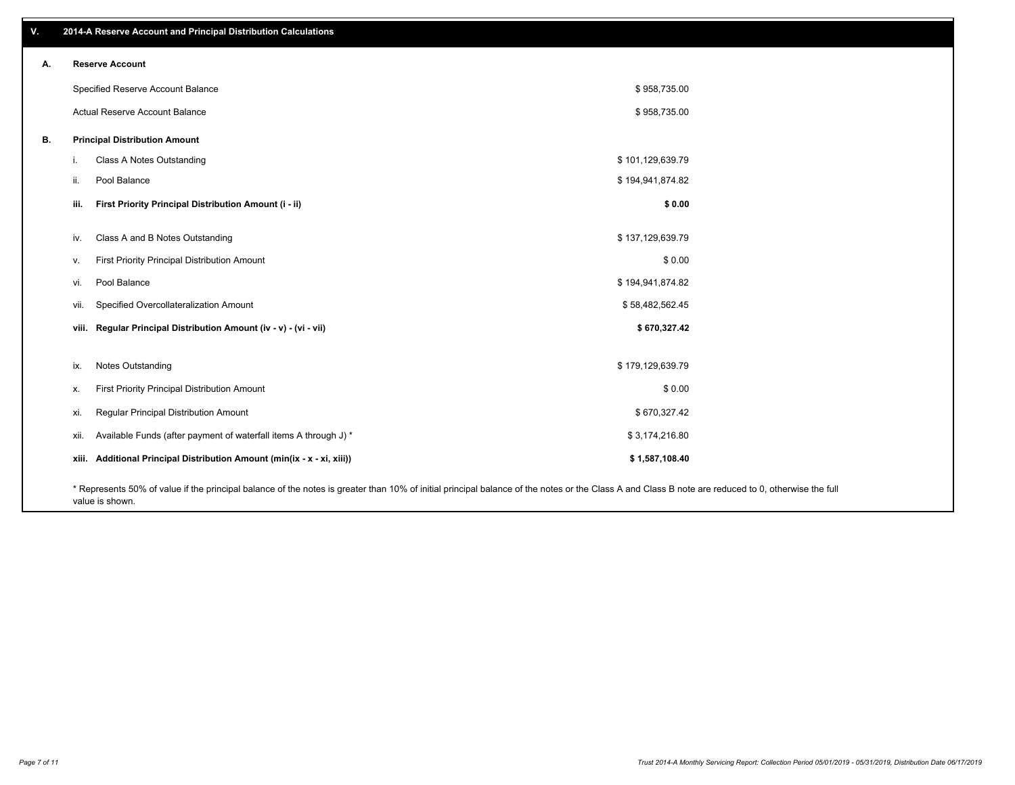| v. |      | 2014-A Reserve Account and Principal Distribution Calculations                                                                                                                                     |                  |  |
|----|------|----------------------------------------------------------------------------------------------------------------------------------------------------------------------------------------------------|------------------|--|
| А. |      | <b>Reserve Account</b>                                                                                                                                                                             |                  |  |
|    |      | Specified Reserve Account Balance                                                                                                                                                                  | \$958,735.00     |  |
|    |      | Actual Reserve Account Balance                                                                                                                                                                     | \$958,735.00     |  |
| В. |      | <b>Principal Distribution Amount</b>                                                                                                                                                               |                  |  |
|    | i.   | Class A Notes Outstanding                                                                                                                                                                          | \$101,129,639.79 |  |
|    | ii.  | Pool Balance                                                                                                                                                                                       | \$194,941,874.82 |  |
|    | iii. | First Priority Principal Distribution Amount (i - ii)                                                                                                                                              | \$0.00           |  |
|    | iv.  | Class A and B Notes Outstanding                                                                                                                                                                    | \$137,129,639.79 |  |
|    | v.   | First Priority Principal Distribution Amount                                                                                                                                                       | \$0.00           |  |
|    | vi.  | Pool Balance                                                                                                                                                                                       | \$194,941,874.82 |  |
|    | vii. | Specified Overcollateralization Amount                                                                                                                                                             | \$58,482,562.45  |  |
|    |      | viii. Regular Principal Distribution Amount (iv - v) - (vi - vii)                                                                                                                                  | \$670,327.42     |  |
|    | ix.  | Notes Outstanding                                                                                                                                                                                  | \$179,129,639.79 |  |
|    | Х.   | First Priority Principal Distribution Amount                                                                                                                                                       | \$0.00           |  |
|    | xi.  | Regular Principal Distribution Amount                                                                                                                                                              | \$670,327.42     |  |
|    | xii. | Available Funds (after payment of waterfall items A through J) *                                                                                                                                   | \$3,174,216.80   |  |
|    |      | xiii. Additional Principal Distribution Amount (min(ix - x - xi, xiii))                                                                                                                            | \$1,587,108.40   |  |
|    |      | * Represents 50% of value if the principal balance of the notes is greater than 10% of initial principal balance of the notes or the Class A and Class B note are reduced to 0, otherwise the full |                  |  |

value is shown.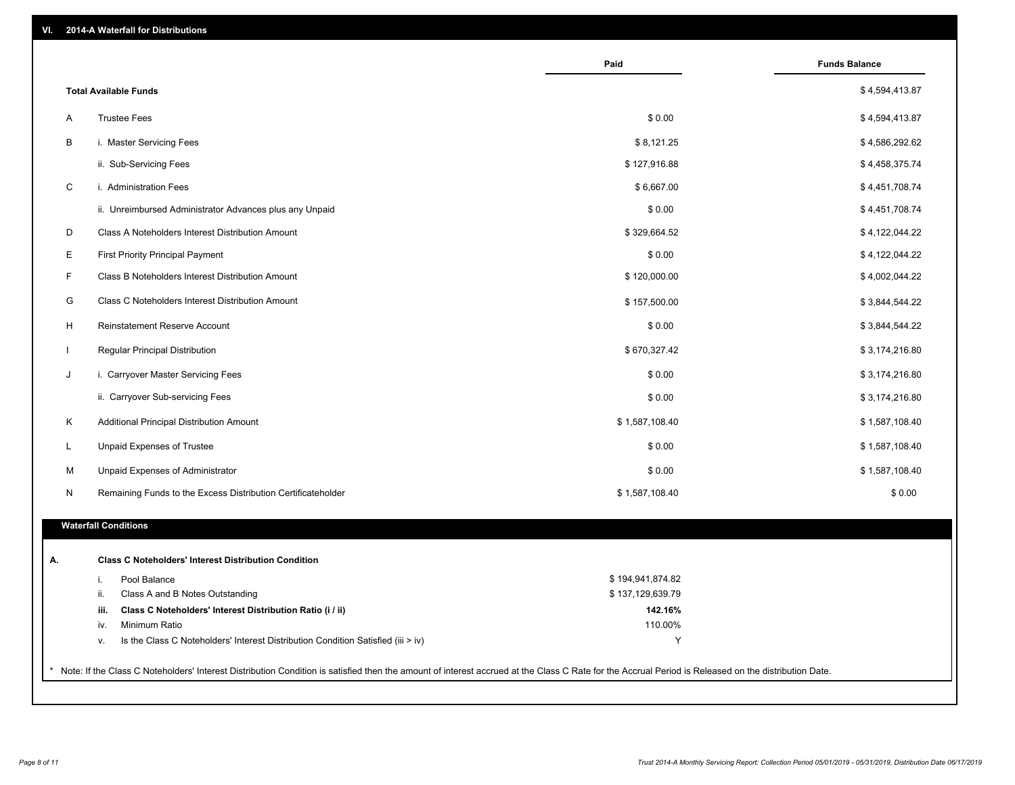| VI. |  | 2014-A Waterfall for Distributions |  |  |  |
|-----|--|------------------------------------|--|--|--|
|-----|--|------------------------------------|--|--|--|

|              |                                                                                        | Paid                        | <b>Funds Balance</b> |
|--------------|----------------------------------------------------------------------------------------|-----------------------------|----------------------|
|              | <b>Total Available Funds</b>                                                           |                             | \$4,594,413.87       |
| A            | <b>Trustee Fees</b>                                                                    | \$0.00                      | \$4,594,413.87       |
| B            | i. Master Servicing Fees                                                               | \$8,121.25                  | \$4,586,292.62       |
|              | ii. Sub-Servicing Fees                                                                 | \$127,916.88                | \$4,458,375.74       |
| $\mathsf{C}$ | i. Administration Fees                                                                 | \$6,667.00                  | \$4,451,708.74       |
|              | ii. Unreimbursed Administrator Advances plus any Unpaid                                | \$0.00                      | \$4,451,708.74       |
| D            | Class A Noteholders Interest Distribution Amount                                       | \$329,664.52                | \$4,122,044.22       |
| E            | <b>First Priority Principal Payment</b>                                                | \$0.00                      | \$4,122,044.22       |
| F            | Class B Noteholders Interest Distribution Amount                                       | \$120,000.00                | \$4,002,044.22       |
| G            | Class C Noteholders Interest Distribution Amount                                       | \$157,500.00                | \$3,844,544.22       |
| H            | Reinstatement Reserve Account                                                          | \$0.00                      | \$3,844,544.22       |
| $\mathbf{I}$ | Regular Principal Distribution                                                         | \$670,327.42                | \$3,174,216.80       |
| J            | i. Carryover Master Servicing Fees                                                     | \$0.00                      | \$3,174,216.80       |
|              | ii. Carryover Sub-servicing Fees                                                       | \$0.00                      | \$3,174,216.80       |
| Κ            | Additional Principal Distribution Amount                                               | \$1,587,108.40              | \$1,587,108.40       |
| L            | Unpaid Expenses of Trustee                                                             | \$0.00                      | \$1,587,108.40       |
| М            | Unpaid Expenses of Administrator                                                       | \$0.00                      | \$1,587,108.40       |
| N            | Remaining Funds to the Excess Distribution Certificateholder                           | \$1,587,108.40              | \$0.00               |
|              | <b>Waterfall Conditions</b>                                                            |                             |                      |
|              |                                                                                        |                             |                      |
|              | <b>Class C Noteholders' Interest Distribution Condition</b>                            |                             |                      |
|              | Pool Balance<br>i.                                                                     | \$194,941,874.82            |                      |
|              | ii.<br>Class A and B Notes Outstanding<br>iii.                                         | \$137,129,639.79<br>142.16% |                      |
|              | Class C Noteholders' Interest Distribution Ratio (i / ii)<br>Minimum Ratio<br>iv.      | 110.00%                     |                      |
|              | Is the Class C Noteholders' Interest Distribution Condition Satisfied (iii > iv)<br>V. | Y                           |                      |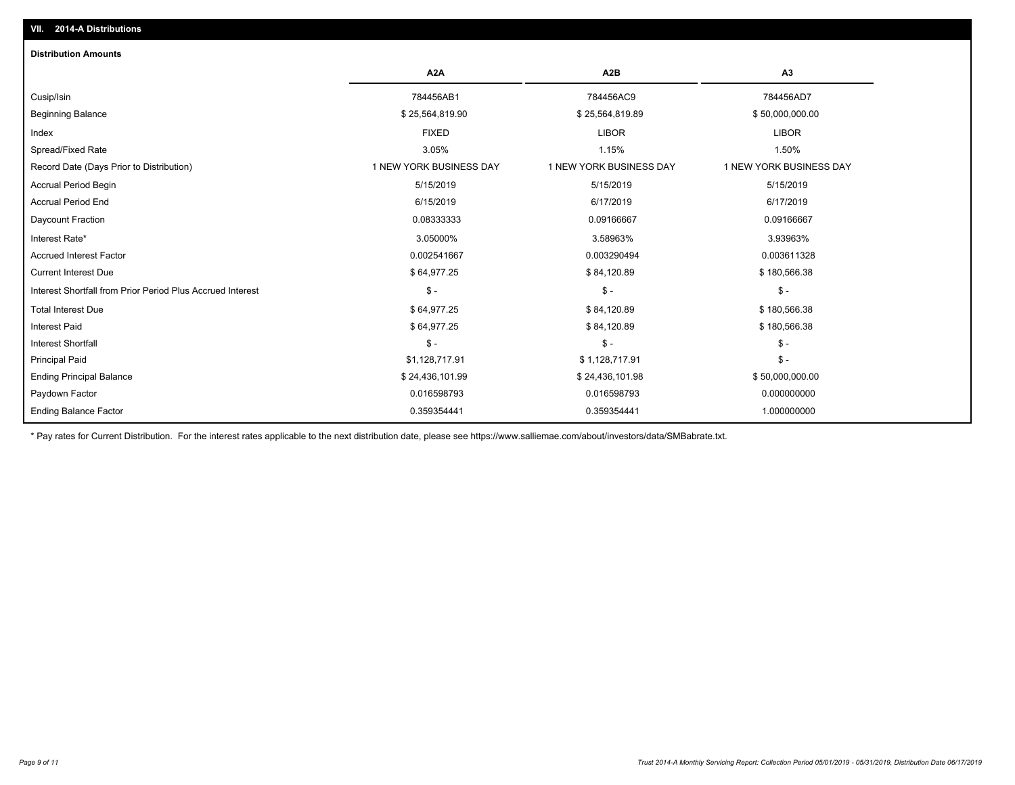| <b>Distribution Amounts</b>                                |                         |                         |                         |
|------------------------------------------------------------|-------------------------|-------------------------|-------------------------|
|                                                            | A <sub>2</sub> A        | A <sub>2</sub> B        | A <sub>3</sub>          |
| Cusip/Isin                                                 | 784456AB1               | 784456AC9               | 784456AD7               |
| <b>Beginning Balance</b>                                   | \$25,564,819.90         | \$25,564,819.89         | \$50,000,000.00         |
| Index                                                      | <b>FIXED</b>            | <b>LIBOR</b>            | <b>LIBOR</b>            |
| Spread/Fixed Rate                                          | 3.05%                   | 1.15%                   | 1.50%                   |
| Record Date (Days Prior to Distribution)                   | 1 NEW YORK BUSINESS DAY | 1 NEW YORK BUSINESS DAY | 1 NEW YORK BUSINESS DAY |
| <b>Accrual Period Begin</b>                                | 5/15/2019               | 5/15/2019               | 5/15/2019               |
| <b>Accrual Period End</b>                                  | 6/15/2019               | 6/17/2019               | 6/17/2019               |
| Daycount Fraction                                          | 0.08333333              | 0.09166667              | 0.09166667              |
| Interest Rate*                                             | 3.05000%                | 3.58963%                | 3.93963%                |
| <b>Accrued Interest Factor</b>                             | 0.002541667             | 0.003290494             | 0.003611328             |
| <b>Current Interest Due</b>                                | \$64,977.25             | \$84,120.89             | \$180,566.38            |
| Interest Shortfall from Prior Period Plus Accrued Interest | $\mathcal{S}$ -         | $\mathsf{\$}$ -         | $\frac{1}{2}$           |
| <b>Total Interest Due</b>                                  | \$64,977.25             | \$84,120.89             | \$180,566.38            |
| <b>Interest Paid</b>                                       | \$64,977.25             | \$84,120.89             | \$180,566.38            |
| <b>Interest Shortfall</b>                                  | $\mathsf{\$}$ -         | $\mathsf{\$}$ -         | $\mathsf{\$}$ -         |
| <b>Principal Paid</b>                                      | \$1,128,717.91          | \$1,128,717.91          | $\mathsf{\$}$ -         |
| <b>Ending Principal Balance</b>                            | \$24,436,101.99         | \$24,436,101.98         | \$50,000,000.00         |
| Paydown Factor                                             | 0.016598793             | 0.016598793             | 0.000000000             |
| <b>Ending Balance Factor</b>                               | 0.359354441             | 0.359354441             | 1.000000000             |

\* Pay rates for Current Distribution. For the interest rates applicable to the next distribution date, please see https://www.salliemae.com/about/investors/data/SMBabrate.txt.

**VII. 2014-A Distributions**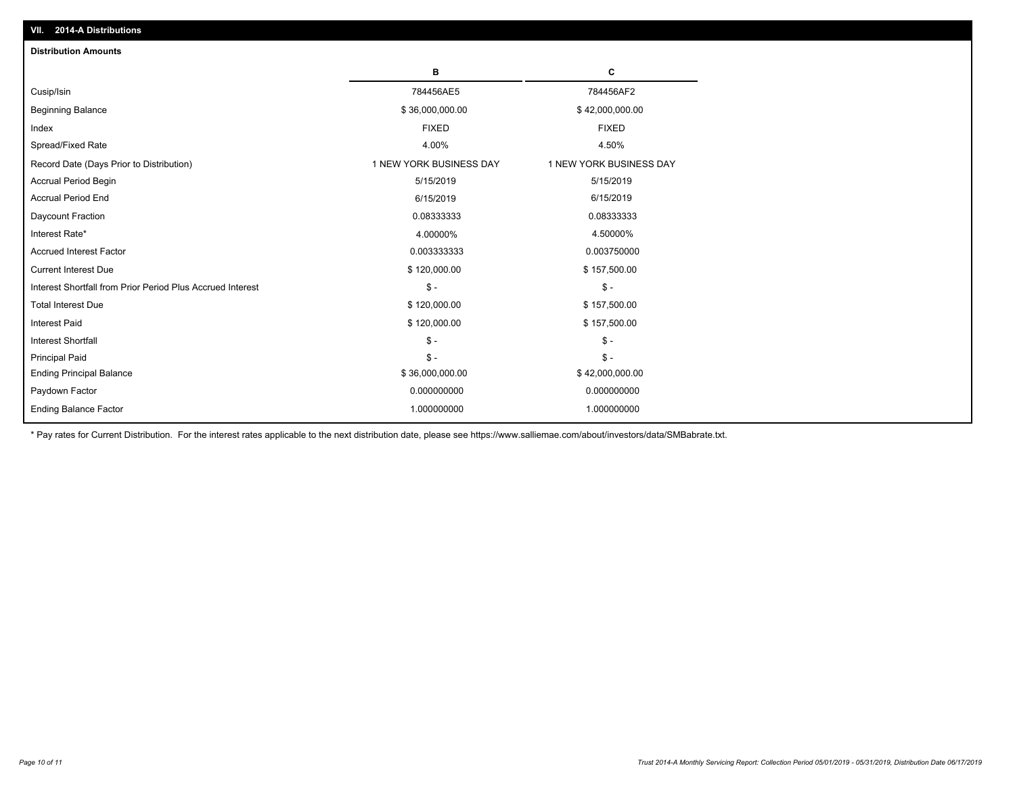| <b>Distribution Amounts</b>                                |                         |                         |
|------------------------------------------------------------|-------------------------|-------------------------|
|                                                            | в                       | C                       |
| Cusip/Isin                                                 | 784456AE5               | 784456AF2               |
| <b>Beginning Balance</b>                                   | \$36,000,000.00         | \$42,000,000.00         |
| Index                                                      | <b>FIXED</b>            | <b>FIXED</b>            |
| Spread/Fixed Rate                                          | 4.00%                   | 4.50%                   |
| Record Date (Days Prior to Distribution)                   | 1 NEW YORK BUSINESS DAY | 1 NEW YORK BUSINESS DAY |
| <b>Accrual Period Begin</b>                                | 5/15/2019               | 5/15/2019               |
| <b>Accrual Period End</b>                                  | 6/15/2019               | 6/15/2019               |
| Daycount Fraction                                          | 0.08333333              | 0.08333333              |
| Interest Rate*                                             | 4.00000%                | 4.50000%                |
| <b>Accrued Interest Factor</b>                             | 0.003333333             | 0.003750000             |
| <b>Current Interest Due</b>                                | \$120,000.00            | \$157,500.00            |
| Interest Shortfall from Prior Period Plus Accrued Interest | $\mathsf{\$}$ -         | $\frac{1}{2}$           |
| <b>Total Interest Due</b>                                  | \$120,000.00            | \$157,500.00            |
| Interest Paid                                              | \$120,000.00            | \$157,500.00            |
| <b>Interest Shortfall</b>                                  | $\mathsf{\$}$ -         | $\mathsf{\$}$ -         |
| <b>Principal Paid</b>                                      | $\mathsf{\$}$ -         | $\mathsf{\$}$ -         |
| <b>Ending Principal Balance</b>                            | \$36,000,000.00         | \$42,000,000.00         |
| Paydown Factor                                             | 0.000000000             | 0.000000000             |
| <b>Ending Balance Factor</b>                               | 1.000000000             | 1.000000000             |

\* Pay rates for Current Distribution. For the interest rates applicable to the next distribution date, please see https://www.salliemae.com/about/investors/data/SMBabrate.txt.

**VII. 2014-A Distributions**